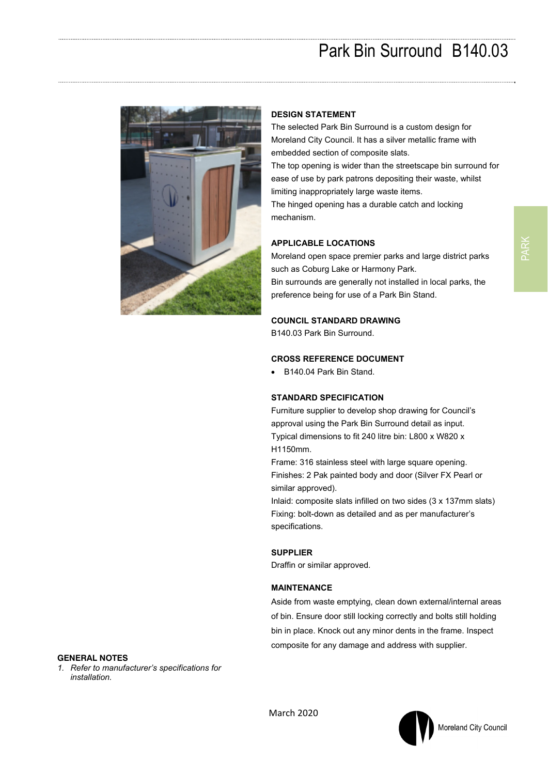# Park Bin Surround B140.03



### **DESIGN STATEMENT**

The selected Park Bin Surround is a custom design for Moreland City Council. It has a silver metallic frame with embedded section of composite slats. The top opening is wider than the streetscape bin surround for ease of use by park patrons depositing their waste, whilst limiting inappropriately large waste items.

The hinged opening has a durable catch and locking mechanism.

#### **APPLICABLE LOCATIONS**

Moreland open space premier parks and large district parks such as Coburg Lake or Harmony Park. Bin surrounds are generally not installed in local parks, the preference being for use of a Park Bin Stand.

#### **COUNCIL STANDARD DRAWING**

B140.03 Park Bin Surround.

#### **CROSS REFERENCE DOCUMENT**

B140.04 Park Bin Stand.

#### **STANDARD SPECIFICATION**

Furniture supplier to develop shop drawing for Council's approval using the Park Bin Surround detail as input. Typical dimensions to fit 240 litre bin: L800 x W820 x H1150mm.

Frame: 316 stainless steel with large square opening. Finishes: 2 Pak painted body and door (Silver FX Pearl or similar approved).

Inlaid: composite slats infilled on two sides (3 x 137mm slats) Fixing: bolt-down as detailed and as per manufacturer's specifications.

#### **SUPPLIER**

Draffin or similar approved.

### **MAINTENANCE**

Aside from waste emptying, clean down external/internal areas of bin. Ensure door still locking correctly and bolts still holding bin in place. Knock out any minor dents in the frame. Inspect composite for any damage and address with supplier.

### **GENERAL NOTES**

*1. Refer to manufacturer's specifications for installation.*